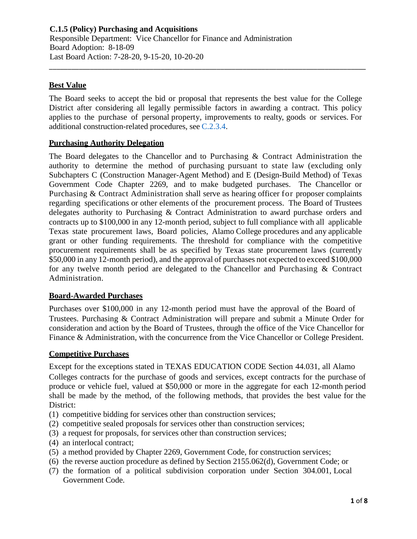# **Best Value**

The Board seeks to accept the bid or proposal that represents the best value for the College District after considering all legally permissible factors in awarding a contract. This policy applies to the purchase of personal property, improvements to realty, goods or services. For additional construction-related procedures, see [C.2.3.4.](https://www.alamo.edu/siteassets/district/about-us/leadership/board-of-trustees/policies-pdfs/section-c/c.2.3.4-procedure.pdf)

\_\_\_\_\_\_\_\_\_\_\_\_\_\_\_\_\_\_\_\_\_\_\_\_\_\_\_\_\_\_\_\_\_\_\_\_\_\_\_\_\_\_\_\_\_\_\_\_\_\_\_\_\_\_\_\_\_\_\_\_\_\_\_\_\_\_\_\_\_\_\_\_\_\_\_\_\_\_\_\_\_\_\_\_\_

## **Purchasing Authority Delegation**

The Board delegates to the Chancellor and to Purchasing & Contract Administration the authority to determine the method of purchasing pursuant to state law (excluding only Subchapters C (Construction Manager-Agent Method) and E (Design-Build Method) of Texas Government Code Chapter 2269, and to make budgeted purchases. The Chancellor or Purchasing & Contract Administration shall serve as hearing officer for proposer complaints regarding specifications or other elements of the procurement process. The Board of Trustees delegates authority to Purchasing & Contract Administration to award purchase orders and contracts up to \$100,000 in any 12-month period, subject to full compliance with all applicable Texas state procurement laws, Board policies, Alamo College procedures and any applicable grant or other funding requirements. The threshold for compliance with the competitive procurement requirements shall be as specified by Texas state procurement laws (currently \$50,000 in any 12-month period), and the approval of purchases not expected to exceed \$100,000 for any twelve month period are delegated to the Chancellor and Purchasing & Contract Administration.

## **Board-Awarded Purchases**

Purchases over \$100,000 in any 12-month period must have the approval of the Board of Trustees. Purchasing & Contract Administration will prepare and submit a Minute Order for consideration and action by the Board of Trustees, through the office of the Vice Chancellor for Finance & Administration, with the concurrence from the Vice Chancellor or College President.

### **Competitive Purchases**

Except for the exceptions stated in TEXAS EDUCATION CODE Section 44.031, all Alamo Colleges contracts for the purchase of goods and services, except contracts for the purchase of produce or vehicle fuel, valued at \$50,000 or more in the aggregate for each 12-month period shall be made by the method, of the following methods, that provides the best value for the District:

- (1) competitive bidding for services other than construction services;
- (2) competitive sealed proposals for services other than construction services;
- (3) a request for proposals, for services other than construction services;
- (4) an interlocal contract;
- (5) a method provided by Chapter 2269, Government Code, for construction services;
- (6) the reverse auction procedure as defined by Section 2155.062(d), Government Code; or
- (7) the formation of a political subdivision corporation under Section 304.001, Local Government Code.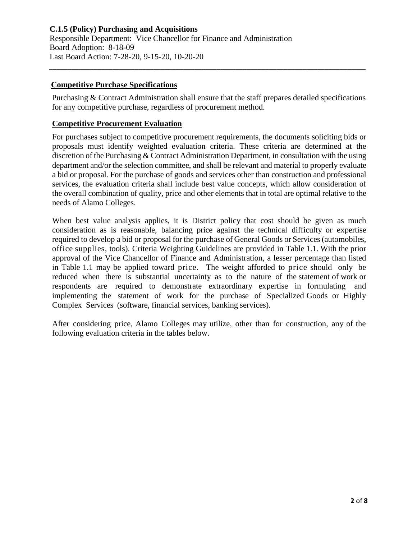## **Competitive Purchase Specifications**

Purchasing & Contract Administration shall ensure that the staff prepares detailed specifications for any competitive purchase, regardless of procurement method.

\_\_\_\_\_\_\_\_\_\_\_\_\_\_\_\_\_\_\_\_\_\_\_\_\_\_\_\_\_\_\_\_\_\_\_\_\_\_\_\_\_\_\_\_\_\_\_\_\_\_\_\_\_\_\_\_\_\_\_\_\_\_\_\_\_\_\_\_\_\_\_\_\_\_\_\_\_\_\_\_\_\_\_\_\_

### **Competitive Procurement Evaluation**

For purchases subject to competitive procurement requirements, the documents soliciting bids or proposals must identify weighted evaluation criteria. These criteria are determined at the discretion of the Purchasing & Contract Administration Department, in consultation with the using department and/or the selection committee, and shall be relevant and material to properly evaluate a bid or proposal. For the purchase of goods and services other than construction and professional services, the evaluation criteria shall include best value concepts, which allow consideration of the overall combination of quality, price and other elements that in total are optimal relative to the needs of Alamo Colleges.

When best value analysis applies, it is District policy that cost should be given as much consideration as is reasonable, balancing price against the technical difficulty or expertise required to develop a bid or proposal for the purchase of General Goods or Services (automobiles, office supplies, tools). Criteria Weighting Guidelines are provided in Table 1.1. With the prior approval of the Vice Chancellor of Finance and Administration, a lesser percentage than listed in Table 1.1 may be applied toward price. The weight afforded to price should only be reduced when there is substantial uncertainty as to the nature of the statement of work or respondents are required to demonstrate extraordinary expertise in formulating and implementing the statement of work for the purchase of Specialized Goods or Highly Complex Services (software, financial services, banking services).

After considering price, Alamo Colleges may utilize, other than for construction, any of the following evaluation criteria in the tables below.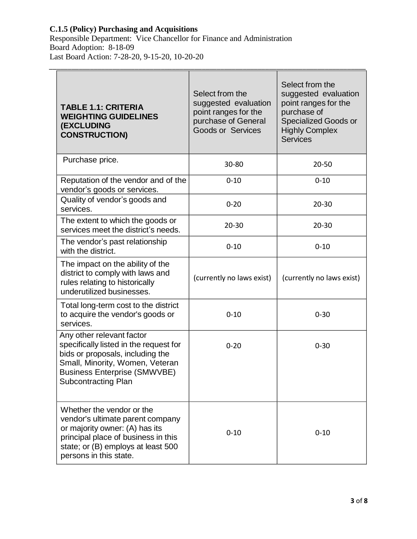### **C.1.5 (Policy) Purchasing and Acquisitions**

Responsible Department: Vice Chancellor for Finance and Administration Board Adoption: 8-18-09 Last Board Action: 7-28-20, 9-15-20, 10-20-20

| <b>TABLE 1.1: CRITERIA</b><br><b>WEIGHTING GUIDELINES</b><br><b>(EXCLUDING</b><br><b>CONSTRUCTION)</b>                                                                                                          | Select from the<br>suggested evaluation<br>point ranges for the<br>purchase of General<br><b>Goods or Services</b> | Select from the<br>suggested evaluation<br>point ranges for the<br>purchase of<br><b>Specialized Goods or</b><br><b>Highly Complex</b><br><b>Services</b> |
|-----------------------------------------------------------------------------------------------------------------------------------------------------------------------------------------------------------------|--------------------------------------------------------------------------------------------------------------------|-----------------------------------------------------------------------------------------------------------------------------------------------------------|
| Purchase price.                                                                                                                                                                                                 | 30-80                                                                                                              | 20-50                                                                                                                                                     |
| Reputation of the vendor and of the<br>vendor's goods or services.                                                                                                                                              | $0 - 10$                                                                                                           | $0 - 10$                                                                                                                                                  |
| Quality of vendor's goods and<br>services.                                                                                                                                                                      | $0 - 20$                                                                                                           | $20 - 30$                                                                                                                                                 |
| The extent to which the goods or<br>services meet the district's needs.                                                                                                                                         | $20 - 30$                                                                                                          | $20 - 30$                                                                                                                                                 |
| The vendor's past relationship<br>with the district.                                                                                                                                                            | $0 - 10$                                                                                                           | $0 - 10$                                                                                                                                                  |
| The impact on the ability of the<br>district to comply with laws and<br>rules relating to historically<br>underutilized businesses.                                                                             | (currently no laws exist)                                                                                          | (currently no laws exist)                                                                                                                                 |
| Total long-term cost to the district<br>to acquire the vendor's goods or<br>services.                                                                                                                           | $0 - 10$                                                                                                           | $0 - 30$                                                                                                                                                  |
| Any other relevant factor<br>specifically listed in the request for<br>bids or proposals, including the<br>Small, Minority, Women, Veteran<br><b>Business Enterprise (SMWVBE)</b><br><b>Subcontracting Plan</b> | $0 - 20$                                                                                                           | $0 - 30$                                                                                                                                                  |
| Whether the vendor or the<br>vendor's ultimate parent company<br>or majority owner: (A) has its<br>principal place of business in this<br>state; or (B) employs at least 500<br>persons in this state.          | $0 - 10$                                                                                                           | $0 - 10$                                                                                                                                                  |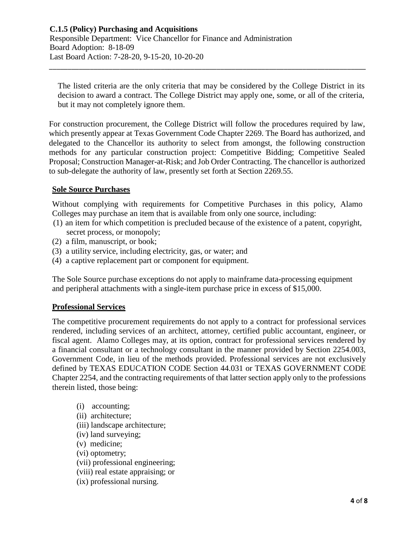The listed criteria are the only criteria that may be considered by the College District in its decision to award a contract. The College District may apply one, some, or all of the criteria, but it may not completely ignore them.

\_\_\_\_\_\_\_\_\_\_\_\_\_\_\_\_\_\_\_\_\_\_\_\_\_\_\_\_\_\_\_\_\_\_\_\_\_\_\_\_\_\_\_\_\_\_\_\_\_\_\_\_\_\_\_\_\_\_\_\_\_\_\_\_\_\_\_\_\_\_\_\_\_\_\_\_\_\_\_\_\_\_\_\_\_

For construction procurement, the College District will follow the procedures required by law, which presently appear at Texas Government Code Chapter 2269. The Board has authorized, and delegated to the Chancellor its authority to select from amongst, the following construction methods for any particular construction project: Competitive Bidding; Competitive Sealed Proposal; Construction Manager-at-Risk; and Job Order Contracting. The chancellor is authorized to sub-delegate the authority of law, presently set forth at Section 2269.55.

### **Sole Source Purchases**

Without complying with requirements for Competitive Purchases in this policy, Alamo Colleges may purchase an item that is available from only one source, including:

- (1) an item for which competition is precluded because of the existence of a patent, copyright, secret process, or monopoly;
- (2) a film, manuscript, or book;
- (3) a utility service, including electricity, gas, or water; and
- (4) a captive replacement part or component for equipment.

The Sole Source purchase exceptions do not apply to mainframe data-processing equipment and peripheral attachments with a single-item purchase price in excess of \$15,000.

### **Professional Services**

The competitive procurement requirements do not apply to a contract for professional services rendered, including services of an architect, attorney, certified public accountant, engineer, or fiscal agent. Alamo Colleges may, at its option, contract for professional services rendered by a financial consultant or a technology consultant in the manner provided by Section 2254.003, Government Code, in lieu of the methods provided. Professional services are not exclusively defined by TEXAS EDUCATION CODE Section 44.031 or TEXAS GOVERNMENT CODE Chapter 2254, and the contracting requirements of that latter section apply only to the professions therein listed, those being:

- (i) accounting; (ii) architecture; (iii) landscape architecture; (iv) land surveying; (v) medicine; (vi) optometry; (vii) professional engineering; (viii) real estate appraising; or
- (ix) professional nursing.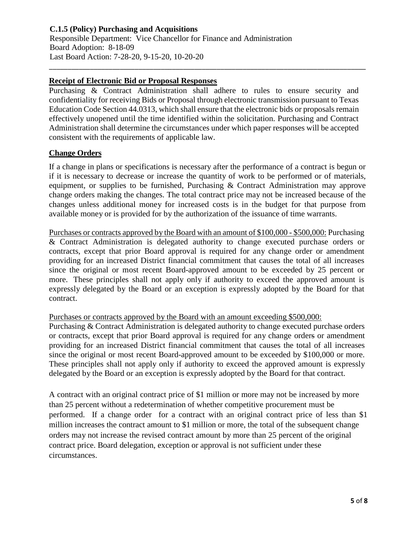## **C.1.5 (Policy) Purchasing and Acquisitions** Responsible Department: Vice Chancellor for Finance and Administration Board Adoption: 8-18-09 Last Board Action: 7-28-20, 9-15-20, 10-20-20

## **Receipt of Electronic Bid or Proposal Responses**

Purchasing & Contract Administration shall adhere to rules to ensure security and confidentiality for receiving Bids or Proposal through electronic transmission pursuant to Texas Education Code Section 44.0313, which shall ensure that the electronic bids or proposals remain effectively unopened until the time identified within the solicitation. Purchasing and Contract Administration shall determine the circumstances under which paper responses will be accepted consistent with the requirements of applicable law.

\_\_\_\_\_\_\_\_\_\_\_\_\_\_\_\_\_\_\_\_\_\_\_\_\_\_\_\_\_\_\_\_\_\_\_\_\_\_\_\_\_\_\_\_\_\_\_\_\_\_\_\_\_\_\_\_\_\_\_\_\_\_\_\_\_\_\_\_\_\_\_\_\_\_\_\_\_\_\_\_\_\_\_\_\_

### **Change Orders**

If a change in plans or specifications is necessary after the performance of a contract is begun or if it is necessary to decrease or increase the quantity of work to be performed or of materials, equipment, or supplies to be furnished, Purchasing & Contract Administration may approve change orders making the changes. The total contract price may not be increased because of the changes unless additional money for increased costs is in the budget for that purpose from available money or is provided for by the authorization of the issuance of time warrants.

Purchases or contracts approved by the Board with an amount of \$100,000 - \$500,000: Purchasing & Contract Administration is delegated authority to change executed purchase orders or contracts, except that prior Board approval is required for any change order or amendment providing for an increased District financial commitment that causes the total of all increases since the original or most recent Board-approved amount to be exceeded by 25 percent or more. These principles shall not apply only if authority to exceed the approved amount is expressly delegated by the Board or an exception is expressly adopted by the Board for that contract.

### Purchases or contracts approved by the Board with an amount exceeding \$500,000:

Purchasing & Contract Administration is delegated authority to change executed purchase orders or contracts, except that prior Board approval is required for any change orders or amendment providing for an increased District financial commitment that causes the total of all increases since the original or most recent Board-approved amount to be exceeded by \$100,000 or more. These principles shall not apply only if authority to exceed the approved amount is expressly delegated by the Board or an exception is expressly adopted by the Board for that contract.

A contract with an original contract price of \$1 million or more may not be increased by more than 25 percent without a redetermination of whether competitive procurement must be performed. If a change order for a contract with an original contract price of less than \$1 million increases the contract amount to \$1 million or more, the total of the subsequent change orders may not increase the revised contract amount by more than 25 percent of the original contract price. Board delegation, exception or approval is not sufficient under these circumstances.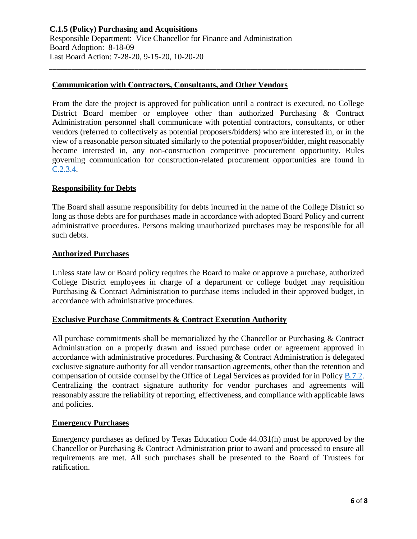### **Communication with Contractors, Consultants, and Other Vendors**

From the date the project is approved for publication until a contract is executed, no College District Board member or employee other than authorized Purchasing & Contract Administration personnel shall communicate with potential contractors, consultants, or other vendors (referred to collectively as potential proposers/bidders) who are interested in, or in the view of a reasonable person situated similarly to the potential proposer/bidder, might reasonably become interested in, any non-construction competitive procurement opportunity. Rules governing communication for construction-related procurement opportunities are found in [C.2.3.4.](https://www.alamo.edu/siteassets/district/about-us/leadership/board-of-trustees/policies-pdfs/section-c/c.2.3.4-procedure.pdf)

\_\_\_\_\_\_\_\_\_\_\_\_\_\_\_\_\_\_\_\_\_\_\_\_\_\_\_\_\_\_\_\_\_\_\_\_\_\_\_\_\_\_\_\_\_\_\_\_\_\_\_\_\_\_\_\_\_\_\_\_\_\_\_\_\_\_\_\_\_\_\_\_\_\_\_\_\_\_\_\_\_\_\_\_\_

#### **Responsibility for Debts**

The Board shall assume responsibility for debts incurred in the name of the College District so long as those debts are for purchases made in accordance with adopted Board Policy and current administrative procedures. Persons making unauthorized purchases may be responsible for all such debts.

#### **Authorized Purchases**

Unless state law or Board policy requires the Board to make or approve a purchase, authorized College District employees in charge of a department or college budget may requisition Purchasing & Contract Administration to purchase items included in their approved budget, in accordance with administrative procedures.

### **Exclusive Purchase Commitments & Contract Execution Authority**

All purchase commitments shall be memorialized by the Chancellor or Purchasing & Contract Administration on a properly drawn and issued purchase order or agreement approved in accordance with administrative procedures. Purchasing & Contract Administration is delegated exclusive signature authority for all vendor transaction agreements, other than the retention and compensation of outside counsel by the Office of Legal Services as provided for in Policy [B.7.2.](https://www.alamo.edu/siteassets/district/about-us/leadership/board-of-trustees/policies-pdfs/section-b/b.7.2-policy.pdf) Centralizing the contract signature authority for vendor purchases and agreements will reasonably assure the reliability of reporting, effectiveness, and compliance with applicable laws and policies.

#### **Emergency Purchases**

Emergency purchases as defined by Texas Education Code 44.031(h) must be approved by the Chancellor or Purchasing & Contract Administration prior to award and processed to ensure all requirements are met. All such purchases shall be presented to the Board of Trustees for ratification.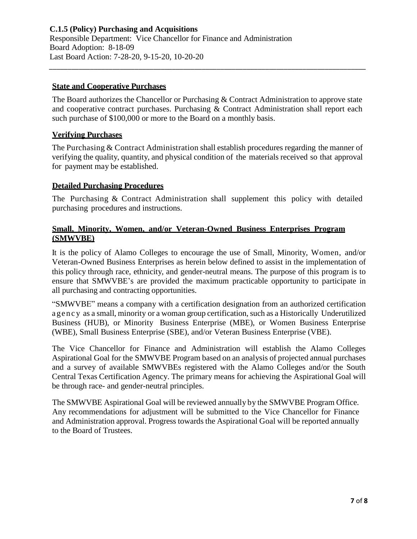## **State and Cooperative Purchases**

The Board authorizes the Chancellor or Purchasing & Contract Administration to approve state and cooperative contract purchases. Purchasing & Contract Administration shall report each such purchase of \$100,000 or more to the Board on a monthly basis.

\_\_\_\_\_\_\_\_\_\_\_\_\_\_\_\_\_\_\_\_\_\_\_\_\_\_\_\_\_\_\_\_\_\_\_\_\_\_\_\_\_\_\_\_\_\_\_\_\_\_\_\_\_\_\_\_\_\_\_\_\_\_\_\_\_\_\_\_\_\_\_\_\_\_\_\_\_\_\_\_\_\_\_\_\_

## **Verifying Purchases**

The Purchasing & Contract Administration shall establish procedures regarding the manner of verifying the quality, quantity, and physical condition of the materials received so that approval for payment may be established.

### **Detailed Purchasing Procedures**

The Purchasing & Contract Administration shall supplement this policy with detailed purchasing procedures and instructions.

## **Small, Minority, Women, and/or Veteran-Owned Business Enterprises Program (SMWVBE)**

It is the policy of Alamo Colleges to encourage the use of Small, Minority, Women, and/or Veteran-Owned Business Enterprises as herein below defined to assist in the implementation of this policy through race, ethnicity, and gender-neutral means. The purpose of this program is to ensure that SMWVBE's are provided the maximum practicable opportunity to participate in all purchasing and contracting opportunities.

"SMWVBE" means a company with a certification designation from an authorized certification a gen c y as a small, minority or a woman group certification, such as a Historically Underutilized Business (HUB), or Minority Business Enterprise (MBE), or Women Business Enterprise (WBE), Small Business Enterprise (SBE), and/or Veteran Business Enterprise (VBE).

The Vice Chancellor for Finance and Administration will establish the Alamo Colleges Aspirational Goal for the SMWVBE Program based on an analysis of projected annual purchases and a survey of available SMWVBEs registered with the Alamo Colleges and/or the South Central Texas Certification Agency. The primary means for achieving the Aspirational Goal will be through race- and gender-neutral principles.

The SMWVBE Aspirational Goal will be reviewed annually by the SMWVBE Program Office. Any recommendations for adjustment will be submitted to the Vice Chancellor for Finance and Administration approval. Progress towards the Aspirational Goal will be reported annually to the Board of Trustees.